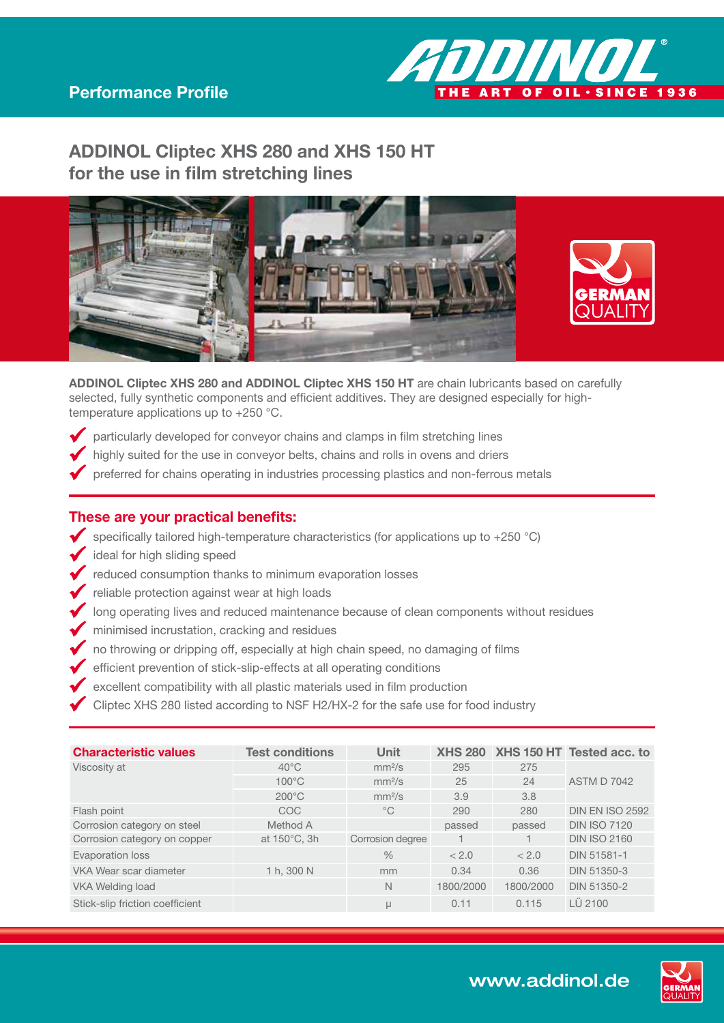# ADDINOL Cliptec XHS 280 and XHS 150 HT for the use in film stretching lines





ART OF OIL . SINCE 1936

**ADDINOI** 

ADDINOL Cliptec XHS 280 and ADDINOL Cliptec XHS 150 HT are chain lubricants based on carefully selected, fully synthetic components and efficient additives. They are designed especially for hightemperature applications up to +250 °C.

- particularly developed for conveyor chains and clamps in film stretching lines
- highly suited for the use in conveyor belts, chains and rolls in ovens and driers
- preferred for chains operating in industries processing plastics and non-ferrous metals

#### These are your practical benefits:

- $\blacklozenge$  specifically tailored high-temperature characteristics (for applications up to +250 °C)
- ideal for high sliding speed
- reduced consumption thanks to minimum evaporation losses
- reliable protection against wear at high loads
- I long operating lives and reduced maintenance because of clean components without residues
- minimised incrustation, cracking and residues
- $\blacktriangleright$  no throwing or dripping off, especially at high chain speed, no damaging of films
- efficient prevention of stick-slip-effects at all operating conditions
- $\blacklozenge$  excellent compatibility with all plastic materials used in film production
- Cliptec XHS 280 listed according to NSF H2/HX-2 for the safe use for food industry

| <b>Characteristic values</b>    | <b>Test conditions</b> | <b>Unit</b>        |           |           | XHS 280 XHS 150 HT Tested acc. to |
|---------------------------------|------------------------|--------------------|-----------|-----------|-----------------------------------|
| Viscosity at                    | $40^{\circ}$ C         | mm <sup>2</sup> /s | 295       | 275       |                                   |
|                                 | $100^{\circ}$ C        | mm <sup>2</sup> /s | 25        | 24        | <b>ASTM D 7042</b>                |
|                                 | $200^{\circ}$ C        | mm <sup>2</sup> /s | 3.9       | 3.8       |                                   |
| Flash point                     | COC                    | $^{\circ}$ C       | 290       | 280       | <b>DIN EN ISO 2592</b>            |
| Corrosion category on steel     | Method A               |                    | passed    | passed    | <b>DIN ISO 7120</b>               |
| Corrosion category on copper    | at 150°C, 3h           | Corrosion degree   |           |           | <b>DIN ISO 2160</b>               |
| Evaporation loss                |                        | $\frac{0}{0}$      | < 2.0     | < 2.0     | DIN 51581-1                       |
| VKA Wear scar diameter          | 1 h, 300 N             | mm                 | 0.34      | 0.36      | DIN 51350-3                       |
| <b>VKA Welding load</b>         |                        | $\mathbb N$        | 1800/2000 | 1800/2000 | DIN 51350-2                       |
| Stick-slip friction coefficient |                        | μ                  | 0.11      | 0.115     | LÜ 2100                           |

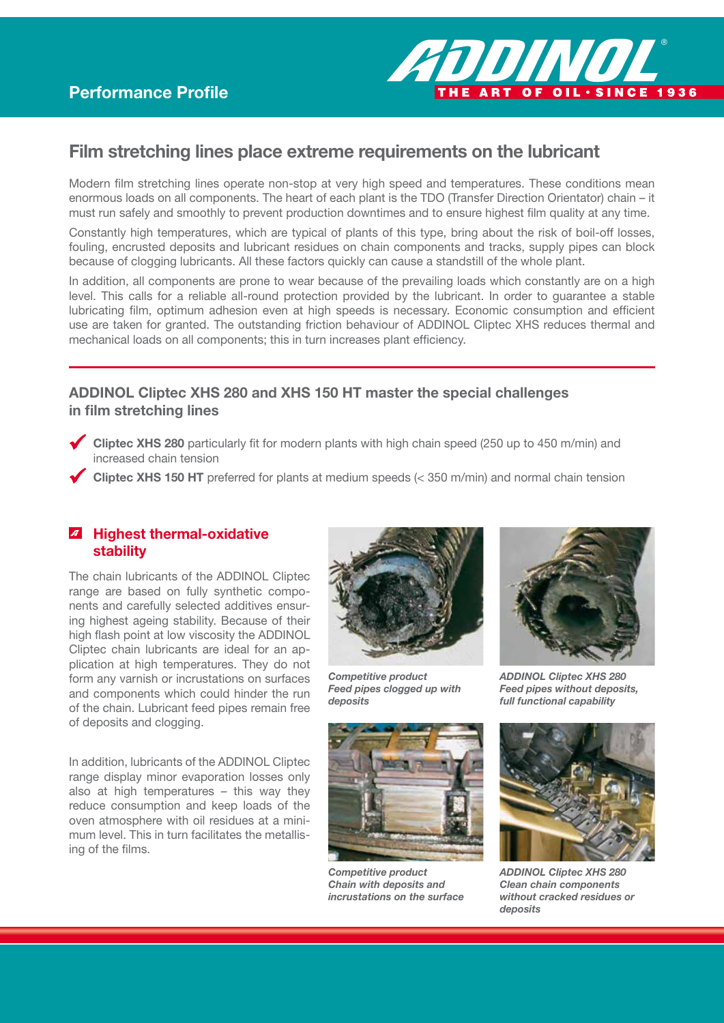

## Film stretching lines place extreme requirements on the lubricant

Modern film stretching lines operate non-stop at very high speed and temperatures. These conditions mean enormous loads on all components. The heart of each plant is the TDO (Transfer Direction Orientator) chain – it must run safely and smoothly to prevent production downtimes and to ensure highest film quality at any time.

Constantly high temperatures, which are typical of plants of this type, bring about the risk of boil-off losses, fouling, encrusted deposits and lubricant residues on chain components and tracks, supply pipes can block because of clogging lubricants. All these factors quickly can cause a standstill of the whole plant.

In addition, all components are prone to wear because of the prevailing loads which constantly are on a high level. This calls for a reliable all-round protection provided by the lubricant. In order to guarantee a stable lubricating film, optimum adhesion even at high speeds is necessary. Economic consumption and efficient use are taken for granted. The outstanding friction behaviour of ADDINOL Cliptec XHS reduces thermal and mechanical loads on all components; this in turn increases plant efficiency.

### ADDINOL Cliptec XHS 280 and XHS 150 HT master the special challenges in film stretching lines

- Cliptec XHS 280 particularly fit for modern plants with high chain speed (250 up to 450 m/min) and increased chain tension
- Cliptec XHS 150 HT preferred for plants at medium speeds (< 350 m/min) and normal chain tension

#### **4** Highest thermal-oxidative stability

The chain lubricants of the ADDINOL Cliptec range are based on fully synthetic components and carefully selected additives ensuring highest ageing stability. Because of their high flash point at low viscosity the ADDINOL Cliptec chain lubricants are ideal for an application at high temperatures. They do not form any varnish or incrustations on surfaces and components which could hinder the run of the chain. Lubricant feed pipes remain free of deposits and clogging.

In addition, lubricants of the ADDINOL Cliptec range display minor evaporation losses only also at high temperatures – this way they reduce consumption and keep loads of the oven atmosphere with oil residues at a minimum level. This in turn facilitates the metallising of the films.



*Competitive product Feed pipes clogged up with deposits*



*Competitive product Chain with deposits and incrustations on the surface*



*ADDINOL Cliptec XHS 280 Feed pipes without deposits, full functional capability*



*ADDINOL Cliptec XHS 280 Clean chain components without cracked residues or deposits*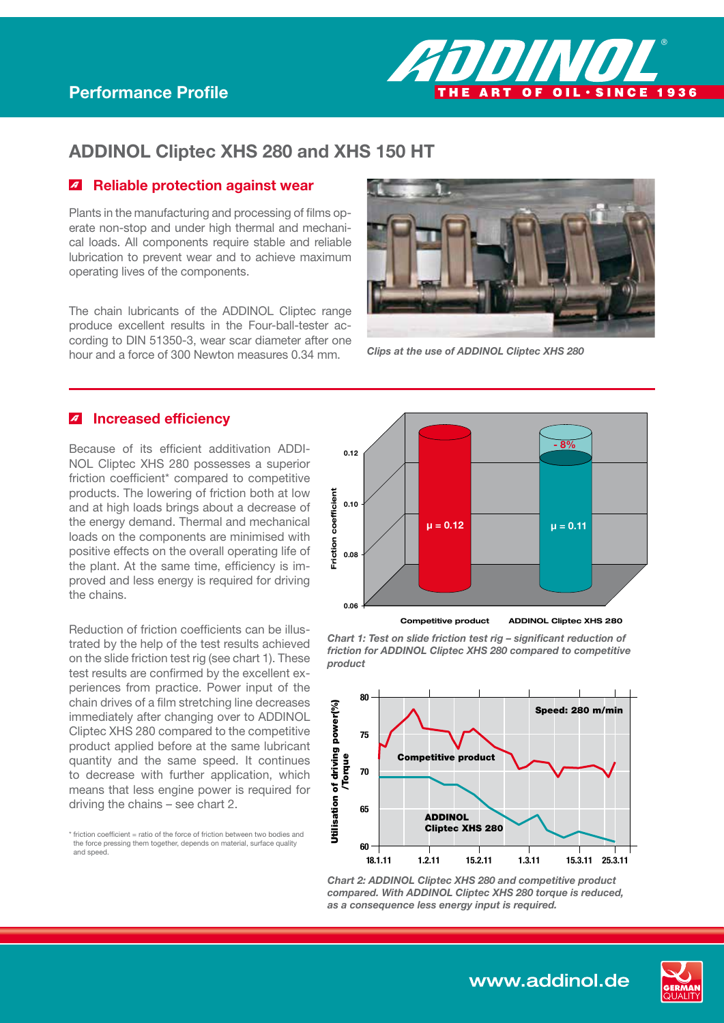

## ADDINOL Cliptec XHS 280 and XHS 150 HT

### *A* Reliable protection against wear

Plants in the manufacturing and processing of films operate non-stop and under high thermal and mechanical loads. All components require stable and reliable lubrication to prevent wear and to achieve maximum operating lives of the components.

The chain lubricants of the ADDINOL Cliptec range produce excellent results in the Four-ball-tester according to DIN 51350-3, wear scar diameter after one hour and a force of 300 Newton measures 0.34 mm.



*Clips at the use of ADDINOL Cliptec XHS 280*

### **A** Increased efficiency

Because of its efficient additivation ADDI-NOL Cliptec XHS 280 possesses a superior friction coefficient\* compared to competitive products. The lowering of friction both at low and at high loads brings about a decrease of the energy demand. Thermal and mechanical loads on the components are minimised with positive effects on the overall operating life of the plant. At the same time, efficiency is improved and less energy is required for driving the chains.

Reduction of friction coefficients can be illustrated by the help of the test results achieved on the slide friction test rig (see chart 1). These test results are confirmed by the excellent experiences from practice. Power input of the chain drives of a film stretching line decreases immediately after changing over to ADDINOL Cliptec XHS 280 compared to the competitive product applied before at the same lubricant quantity and the same speed. It continues to decrease with further application, which means that less engine power is required for driving the chains – see chart 2.

 $*$  friction coefficient = ratio of the force of friction between two bodies and the force pressing them together, depends on material, surface quality and speed.



*Chart 1: Test on slide friction test rig – significant reduction of friction for ADDINOL Cliptec XHS 280 compared to competitive product*



*Chart 2: ADDINOL Cliptec XHS 280 and competitive product compared. With ADDINOL Cliptec XHS 280 torque is reduced, as a consequence less energy input is required.*